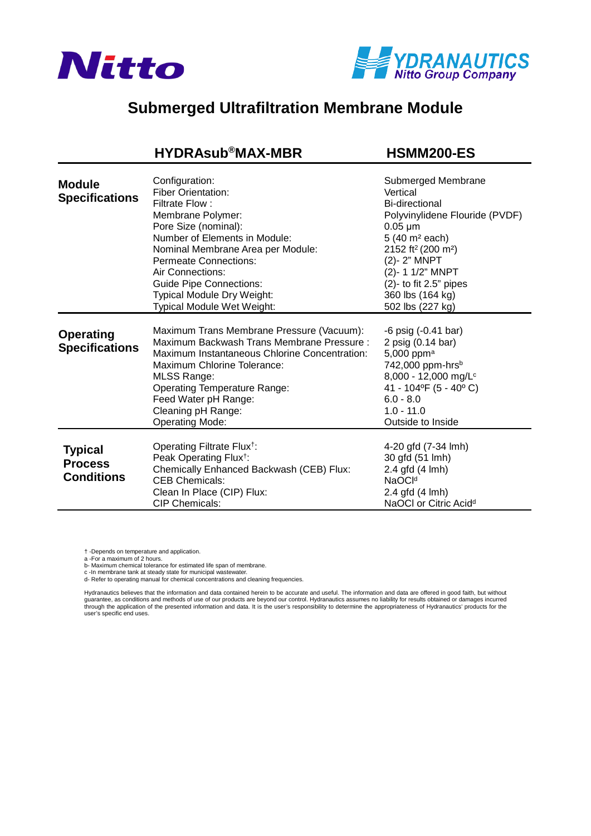



## **Submerged Ultrafiltration Membrane Module**

## **[HYDRAsub®MAX-MBR HSMM200-ES](https://www.pureaqua.com/hydrasubmax-hsmm200-es-membrane/)**

| <b>Module</b><br><b>Specifications</b>                | Configuration:<br><b>Fiber Orientation:</b><br>Filtrate Flow:<br>Membrane Polymer:<br>Pore Size (nominal):<br>Number of Elements in Module:<br>Nominal Membrane Area per Module:<br><b>Permeate Connections:</b><br>Air Connections:<br><b>Guide Pipe Connections:</b><br>Typical Module Dry Weight:<br>Typical Module Wet Weight: | Submerged Membrane<br>Vertical<br>Bi-directional<br>Polyvinylidene Flouride (PVDF)<br>$0.05 \mu m$<br>5 (40 m <sup>2</sup> each)<br>2152 ft <sup>2</sup> (200 m <sup>2</sup> )<br>(2)-2" MNPT<br>(2)- 1 1/2" MNPT<br>$(2)$ - to fit 2.5" pipes<br>360 lbs (164 kg)<br>502 lbs (227 kg) |
|-------------------------------------------------------|------------------------------------------------------------------------------------------------------------------------------------------------------------------------------------------------------------------------------------------------------------------------------------------------------------------------------------|----------------------------------------------------------------------------------------------------------------------------------------------------------------------------------------------------------------------------------------------------------------------------------------|
| <b>Operating</b><br><b>Specifications</b>             | Maximum Trans Membrane Pressure (Vacuum):<br>Maximum Backwash Trans Membrane Pressure:<br>Maximum Instantaneous Chlorine Concentration:<br>Maximum Chlorine Tolerance:<br>MLSS Range:<br><b>Operating Temperature Range:</b><br>Feed Water pH Range:<br>Cleaning pH Range:<br><b>Operating Mode:</b>                               | $-6$ psig $(-0.41$ bar)<br>2 psig (0.14 bar)<br>5,000 ppm <sup>a</sup><br>742,000 ppm-hrsb<br>8,000 - 12,000 mg/L <sup>c</sup><br>41 - 104°F (5 - 40°C)<br>$6.0 - 8.0$<br>$1.0 - 11.0$<br>Outside to Inside                                                                            |
| <b>Typical</b><br><b>Process</b><br><b>Conditions</b> | Operating Filtrate Flux <sup>†</sup> :<br>Peak Operating Flux <sup>†</sup> :<br>Chemically Enhanced Backwash (CEB) Flux:<br><b>CEB Chemicals:</b><br>Clean In Place (CIP) Flux:<br><b>CIP Chemicals:</b>                                                                                                                           | 4-20 gfd (7-34 lmh)<br>30 gfd (51 lmh)<br>2.4 gfd (4 lmh)<br>NaOC <sup>Id</sup><br>2.4 gfd (4 lmh)<br>NaOCI or Citric Acid <sup>d</sup>                                                                                                                                                |

† -Depends on temperature and application.

a -For a maximum of 2 hours.

b- Maximum chemical tolerance for estimated life span of membrane.

c -In membrane tank at steady state for municipal wastewater. d- Refer to operating manual for chemical concentrations and cleaning frequencies.

Hydranautics believes that the information and data contained herein to be accurate and useful. The information and data are offered in good faith, but without<br>guarantee, as conditions and methods of use of our products ar through the application of the presented information and data. It is the user's responsibility to determine the appropriateness of Hydranautics' products for the user's specific end uses.